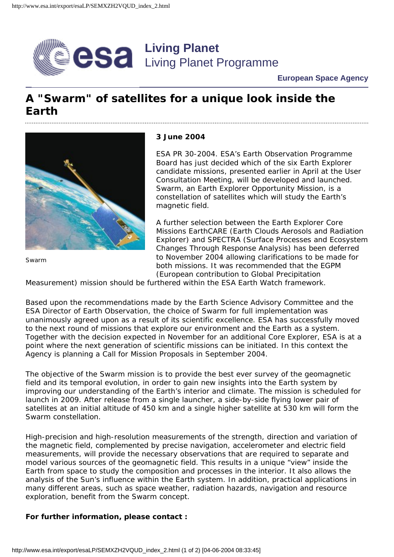

#### **European Space Agency**

# **A "Swarm" of satellites for a unique look inside the Earth**



Swarm

#### **3 June 2004**

ESA PR 30-2004. ESA's Earth Observation Programme Board has just decided which of the six Earth Explorer candidate missions, presented earlier in April at the User Consultation Meeting, will be developed and launched. Swarm, an Earth Explorer Opportunity Mission, is a constellation of satellites which will study the Earth's magnetic field.

A further selection between the Earth Explorer Core Missions EarthCARE (Earth Clouds Aerosols and Radiation Explorer) and SPECTRA (Surface Processes and Ecosystem Changes Through Response Analysis) has been deferred to November 2004 allowing clarifications to be made for both missions. It was recommended that the EGPM (European contribution to Global Precipitation

Measurement) mission should be furthered within the ESA Earth Watch framework.

Based upon the recommendations made by the Earth Science Advisory Committee and the ESA Director of Earth Observation, the choice of Swarm for full implementation was unanimously agreed upon as a result of its scientific excellence. ESA has successfully moved to the next round of missions that explore our environment and the Earth as a system. Together with the decision expected in November for an additional Core Explorer, ESA is at a point where the next generation of scientific missions can be initiated. In this context the Agency is planning a Call for Mission Proposals in September 2004.

The objective of the Swarm mission is to provide the best ever survey of the geomagnetic field and its temporal evolution, in order to gain new insights into the Earth system by improving our understanding of the Earth's interior and climate. The mission is scheduled for launch in 2009. After release from a single launcher, a side-by-side flying lower pair of satellites at an initial altitude of 450 km and a single higher satellite at 530 km will form the Swarm constellation.

High-precision and high-resolution measurements of the strength, direction and variation of the magnetic field, complemented by precise navigation, accelerometer and electric field measurements, will provide the necessary observations that are required to separate and model various sources of the geomagnetic field. This results in a unique "view" inside the Earth from space to study the composition and processes in the interior. It also allows the analysis of the Sun's influence within the Earth system. In addition, practical applications in many different areas, such as space weather, radiation hazards, navigation and resource exploration, benefit from the Swarm concept.

#### **For further information, please contact :**